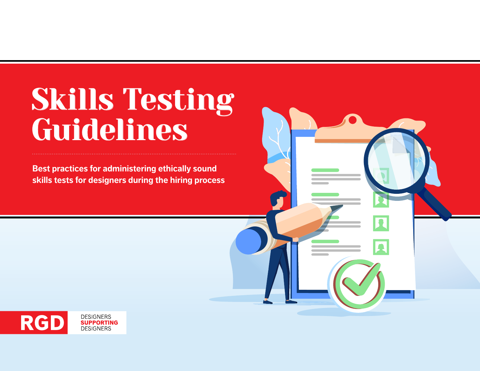# Skills Testing Guidelines

**Best practices for administering ethically sound skills tests for designers during the hiring process**

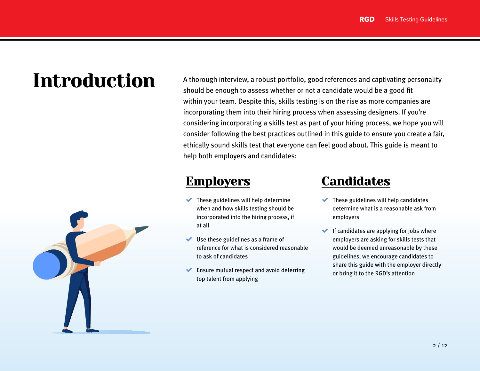

Introduction A thorough interview, a robust portfolio, good references and captivating personality should be enough to assess whether or not a candidate would be a good fit within your team. Despite this, skills testing is on the rise as more companies are incorporating them into their hiring process when assessing designers. If you're considering incorporating a skills test as part of your hiring process, we hope you will consider following the best practices outlined in this guide to ensure you create a fair, ethically sound skills test that everyone can feel good about. This guide is meant to help both employers and candidates:

#### Employers

- $\blacktriangleright$  These guidelines will help determine when and how skills testing should be incorporated into the hiring process, if at all
- ◆ Use these guidelines as a frame of reference for what is considered reasonable to ask of candidates
- Ensure mutual respect and avoid deterring top talent from applying

#### **Candidates**

- $\blacktriangleright$  These guidelines will help candidates determine what is a reasonable ask from employers
- $\blacktriangleright$  If candidates are applying for jobs where employers are asking for skills tests that would be deemed unreasonable by these guidelines, we encourage candidates to share this guide with the employer directly or bring it to the RGD's attention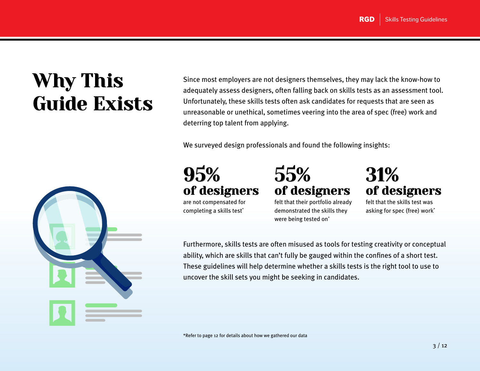## Why This Guide Exists



Since most employers are not designers themselves, they may lack the know-how to adequately assess designers, often falling back on skills tests as an assessment tool. Unfortunately, these skills tests often ask candidates for requests that are seen as unreasonable or unethical, sometimes veering into the area of spec (free) work and deterring top talent from applying.

We surveyed design professionals and found the following insights:



are not compensated for completing a skills test\*

55% of designers felt that their portfolio already

demonstrated the skills they

were being tested on<sup>\*</sup>

31% of designers

felt that the skills test was asking for spec (free) work\*

Furthermore, skills tests are often misused as tools for testing creativity or conceptual ability, which are skills that can't fully be gauged within the confines of a short test. These guidelines will help determine whether a skills tests is the right tool to use to uncover the skill sets you might be seeking in candidates.

\*Refer to page 12 for details about how we gathered our data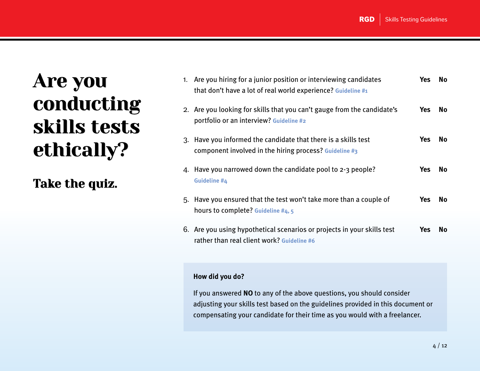### Are you conducting skills tests ethically?

Take the quiz.

| 1. | Are you hiring for a junior position or interviewing candidates<br>that don't have a lot of real world experience? Guideline #1 | Yes        | No.       |
|----|---------------------------------------------------------------------------------------------------------------------------------|------------|-----------|
|    | 2. Are you looking for skills that you can't gauge from the candidate's<br>portfolio or an interview? Guideline #2              | <b>Yes</b> | <b>No</b> |
| 3. | Have you informed the candidate that there is a skills test<br>component involved in the hiring process? Guideline #3           | <b>Yes</b> | No.       |
| 4. | Have you narrowed down the candidate pool to $2-3$ people?<br>Guideline #4                                                      | <b>Yes</b> | No.       |
|    | 5. Have you ensured that the test won't take more than a couple of<br>hours to complete? Guideline #4, 5                        | Yes        | No.       |
|    | 6. Are you using hypothetical scenarios or projects in your skills test<br>rather than real client work? Guideline #6           | <b>Yes</b> | No.       |

#### **How did you do?**

If you answered **NO** to any of the above questions, you should consider adjusting your skills test based on the guidelines provided in this document or compensating your candidate for their time as you would with a freelancer.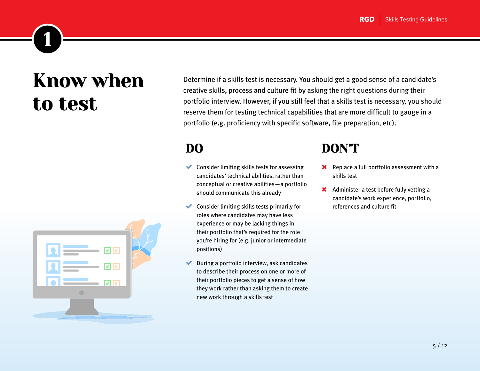### Know when to test

<span id="page-4-0"></span>1



Determine if a skills test is necessary. You should get a good sense of a candidate's creative skills, process and culture fit by asking the right questions during their portfolio interview. However, if you still feel that a skills test is necessary, you should reserve them for testing technical capabilities that are more difficult to gauge in a portfolio (e.g. proficiency with specific software, file preparation, etc).

### DO

- $\blacktriangleright$  Consider limiting skills tests for assessing candidates' technical abilities, rather than conceptual or creative abilities—a portfolio should communicate this already
- $\blacktriangleright$  Consider limiting skills tests primarily for roles where candidates may have less experience or may be lacking things in their portfolio that's required for the role you're hiring for (e.g. junior or intermediate positions)
- During a portfolio interview, ask candidates to describe their process on one or more of their portfolio pieces to get a sense of how they work rather than asking them to create new work through a skills test

- **X** Replace a full portfolio assessment with a skills test
- **X** Administer a test before fully vetting a candidate's work experience, portfolio, references and culture fit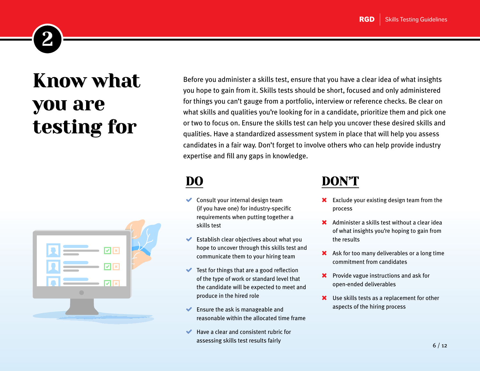## Know what you are testing for

<span id="page-5-0"></span>2



Before you administer a skills test, ensure that you have a clear idea of what insights you hope to gain from it. Skills tests should be short, focused and only administered for things you can't gauge from a portfolio, interview or reference checks. Be clear on what skills and qualities you're looking for in a candidate, prioritize them and pick one or two to focus on. Ensure the skills test can help you uncover these desired skills and qualities. Have a standardized assessment system in place that will help you assess candidates in a fair way. Don't forget to involve others who can help provide industry expertise and fill any gaps in knowledge.

### DO

- Consult your internal design team (if you have one) for industry-specific requirements when putting together a skills test
- Establish clear objectives about what you hope to uncover through this skills test and communicate them to your hiring team
- Test for things that are a good reflection of the type of work or standard level that the candidate will be expected to meet and produce in the hired role
- ◆ Ensure the ask is manageable and reasonable within the allocated time frame
- Have a clear and consistent rubric for assessing skills test results fairly

- **X** Exclude your existing design team from the process
- Administer a skills test without a clear idea of what insights you're hoping to gain from the results
- Ask for too many deliverables or a long time commitment from candidates
- **X** Provide vague instructions and ask for open-ended deliverables
- Use skills tests as a replacement for other aspects of the hiring process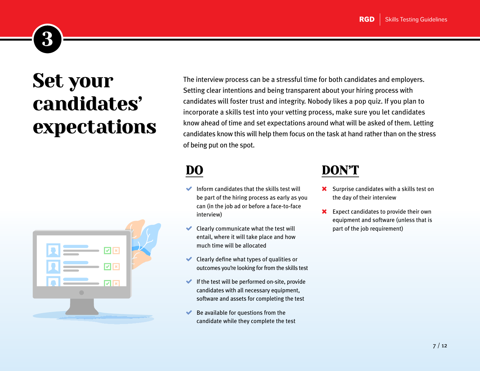## Set your candidates' expectations

<span id="page-6-0"></span>3



The interview process can be a stressful time for both candidates and employers. Setting clear intentions and being transparent about your hiring process with candidates will foster trust and integrity. Nobody likes a pop quiz. If you plan to incorporate a skills test into your vetting process, make sure you let candidates know ahead of time and set expectations around what will be asked of them. Letting candidates know this will help them focus on the task at hand rather than on the stress of being put on the spot.

### DO

- Inform candidates that the skills test will be part of the hiring process as early as you can (in the job ad or before a face-to-face interview)
- $\blacktriangleright$  Clearly communicate what the test will entail, where it will take place and how much time will be allocated
- Clearly define what types of qualities or outcomes you're looking for from the skills test
- $\blacktriangleright$  If the test will be performed on-site, provide candidates with all necessary equipment, software and assets for completing the test
- Be available for questions from the candidate while they complete the test

- **X** Surprise candidates with a skills test on the day of their interview
- **X** Expect candidates to provide their own equipment and software (unless that is part of the job requirement)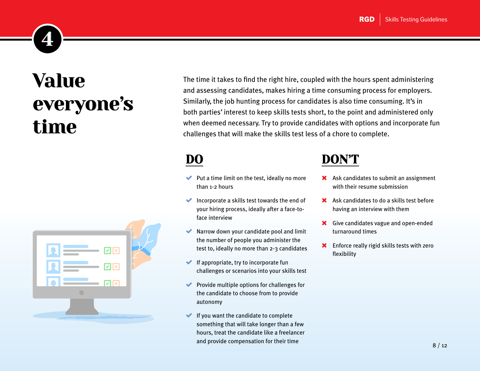<span id="page-7-0"></span>

## Value everyone's time



The time it takes to find the right hire, coupled with the hours spent administering and assessing candidates, makes hiring a time consuming process for employers. Similarly, the job hunting process for candidates is also time consuming. It's in both parties' interest to keep skills tests short, to the point and administered only when deemed necessary. Try to provide candidates with options and incorporate fun challenges that will make the skills test less of a chore to complete.

### DO

- $\blacktriangleright$  Put a time limit on the test, ideally no more than 1-2 hours
- Incorporate a skills test towards the end of your hiring process, ideally after a face-toface interview
- Narrow down your candidate pool and limit the number of people you administer the test to, ideally no more than 2-3 candidates
- $\blacktriangleright$  If appropriate, try to incorporate fun challenges or scenarios into your skills test
- $\blacktriangleright$  Provide multiple options for challenges for the candidate to choose from to provide autonomy
- $\blacktriangleright$  If you want the candidate to complete something that will take longer than a few hours, treat the candidate like a freelancer and provide compensation for their time

- Ask candidates to submit an assignment with their resume submission
- Ask candidates to do a skills test before having an interview with them
- **X** Give candidates vague and open-ended turnaround times
- **X** Enforce really rigid skills tests with zero flexibility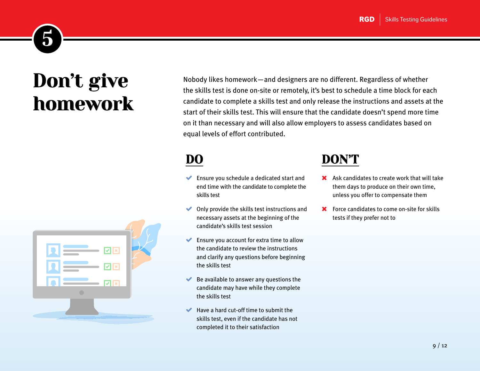## Don't give homework

<span id="page-8-0"></span>5

Nobody likes homework—and designers are no different. Regardless of whether the skills test is done on-site or remotely, it's best to schedule a time block for each candidate to complete a skills test and only release the instructions and assets at the start of their skills test. This will ensure that the candidate doesn't spend more time on it than necessary and will also allow employers to assess candidates based on equal levels of effort contributed.

### DO

- ◆ Ensure you schedule a dedicated start and end time with the candidate to complete the skills test
- $\blacktriangleright$  Only provide the skills test instructions and necessary assets at the beginning of the candidate's skills test session
- ◆ Ensure you account for extra time to allow the candidate to review the instructions and clarify any questions before beginning the skills test
- Be available to answer any questions the candidate may have while they complete the skills test
- $\blacktriangleright$  Have a hard cut-off time to submit the skills test, even if the candidate has not completed it to their satisfaction

- Ask candidates to create work that will take them days to produce on their own time, unless you offer to compensate them
- **X** Force candidates to come on-site for skills tests if they prefer not to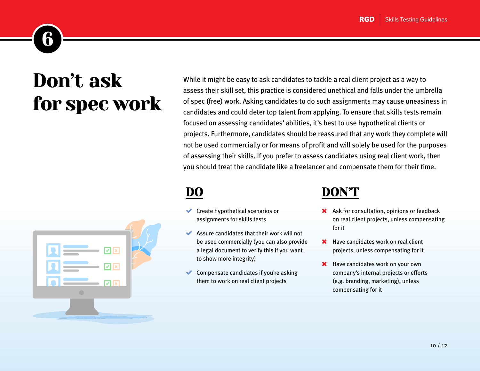### Don't ask for spec work

<span id="page-9-0"></span>6



While it might be easy to ask candidates to tackle a real client project as a way to assess their skill set, this practice is considered unethical and falls under the umbrella of spec (free) work. Asking candidates to do such assignments may cause uneasiness in candidates and could deter top talent from applying. To ensure that skills tests remain focused on assessing candidates' abilities, it's best to use hypothetical clients or projects. Furthermore, candidates should be reassured that any work they complete will not be used commercially or for means of profit and will solely be used for the purposes of assessing their skills. If you prefer to assess candidates using real client work, then you should treat the candidate like a freelancer and compensate them for their time.

DO

- Create hypothetical scenarios or assignments for skills tests
- Assure candidates that their work will not be used commercially (you can also provide a legal document to verify this if you want to show more integrity)
- Compensate candidates if you're asking them to work on real client projects

#### <u>DON'T</u>

- **X** Ask for consultation, opinions or feedback on real client projects, unless compensating for it
- **\*** Have candidates work on real client projects, unless compensating for it
- **X** Have candidates work on your own company's internal projects or efforts (e.g. branding, marketing), unless compensating for it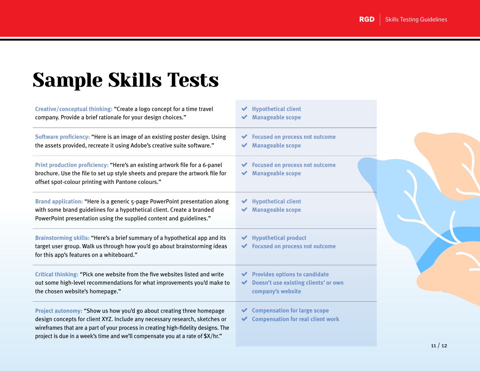## Sample Skills Tests

| Creative/conceptual thinking: "Create a logo concept for a time travel<br>company. Provide a brief rationale for your design choices."                                                                                                                                                                                      | $\blacktriangleright$ Hypothetical client<br><b>Manageable scope</b>                                                                     |
|-----------------------------------------------------------------------------------------------------------------------------------------------------------------------------------------------------------------------------------------------------------------------------------------------------------------------------|------------------------------------------------------------------------------------------------------------------------------------------|
| Software proficiency: "Here is an image of an existing poster design. Using<br>the assets provided, recreate it using Adobe's creative suite software."                                                                                                                                                                     | <b>Focused on process not outcome</b><br><b>Manageable scope</b>                                                                         |
| Print production proficiency: "Here's an existing artwork file for a 6-panel<br>brochure. Use the file to set up style sheets and prepare the artwork file for<br>offset spot-colour printing with Pantone colours."                                                                                                        | <b>Focused on process not outcome</b><br>◆ Manageable scope                                                                              |
| Brand application: "Here is a generic 5-page PowerPoint presentation along<br>with some brand guidelines for a hypothetical client. Create a branded<br>PowerPoint presentation using the supplied content and guidelines."                                                                                                 | <b>Hypothetical client</b><br><b>Manageable scope</b>                                                                                    |
| Brainstorming skills: "Here's a brief summary of a hypothetical app and its<br>target user group. Walk us through how you'd go about brainstorming ideas<br>for this app's features on a whiteboard."                                                                                                                       | $\blacktriangleright$ Hypothetical product<br>◆ Focused on process not outcome                                                           |
| Critical thinking: "Pick one website from the five websites listed and write<br>out some high-level recommendations for what improvements you'd make to<br>the chosen website's homepage."                                                                                                                                  | $\blacktriangleright$ Provides options to candidate<br>Doesn't use existing clients' or own<br>$\blacktriangledown$<br>company's website |
| Project autonomy: "Show us how you'd go about creating three homepage<br>design concepts for client XYZ. Include any necessary research, sketches or<br>wireframes that are a part of your process in creating high-fidelity designs. The<br>project is due in a week's time and we'll compensate you at a rate of \$X/hr." | <b>Compensation for large scope</b><br>◆ Compensation for real client work                                                               |